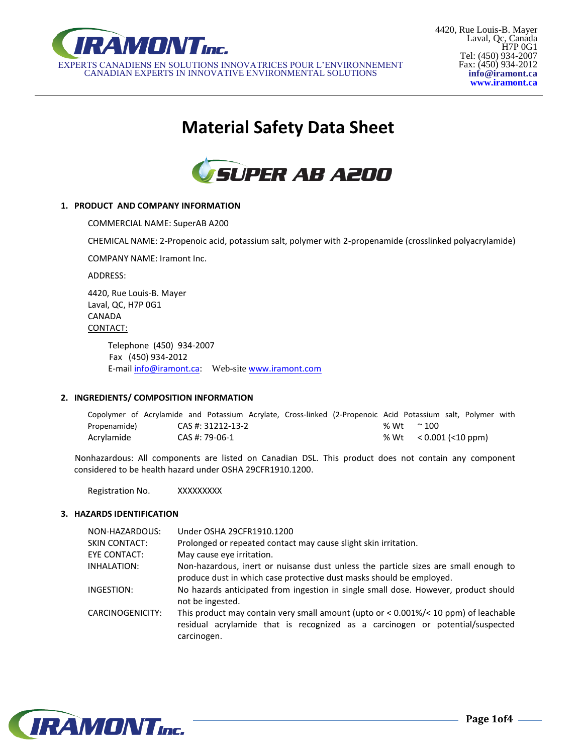

# **Material Safety Data Sheet**



## **1. PRODUCT AND COMPANY INFORMATION**

COMMERCIAL NAME: SuperAB A200

CHEMICAL NAME: 2-Propenoic acid, potassium salt, polymer with 2-propenamide (crosslinked polyacrylamide)

COMPANY NAME: Iramont Inc.

ADDRESS:

4420, Rue Louis-B. Mayer Laval, QC, H7P 0G1 CANADA CONTACT:

> Telephone (450) 934-2007 Fax (450) 934-2012 E-mail [info@iramont.ca](mailto:info@iramont.ca): Web-site [www.iramont.com](http://www.iramont.com/)

## **2. INGREDIENTS/ COMPOSITION INFORMATION**

| Copolymer of Acrylamide and Potassium Acrylate, Cross-linked (2-Propenoic Acid Potassium salt, Polymer with |  |                   |  |  |                          |  |  |
|-------------------------------------------------------------------------------------------------------------|--|-------------------|--|--|--------------------------|--|--|
| Propenamide)                                                                                                |  | CAS #: 31212-13-2 |  |  | % Wt $\sim$ 100          |  |  |
| Acrylamide                                                                                                  |  | CAS #: 79-06-1    |  |  | % Wt $< 0.001$ (<10 ppm) |  |  |

Nonhazardous: All components are listed on Canadian DSL. This product does not contain any component considered to be health hazard under OSHA 29CFR1910.1200.

Registration No. XXXXXXXXX

## **3. HAZARDS IDENTIFICATION**

| NON-HAZARDOUS:      | Under OSHA 29CFR1910.1200                                                                                                                                                                |
|---------------------|------------------------------------------------------------------------------------------------------------------------------------------------------------------------------------------|
| SKIN CONTACT:       | Prolonged or repeated contact may cause slight skin irritation.                                                                                                                          |
| <b>EYE CONTACT:</b> | May cause eye irritation.                                                                                                                                                                |
| INHALATION:         | Non-hazardous, inert or nuisanse dust unless the particle sizes are small enough to<br>produce dust in which case protective dust masks should be employed.                              |
| INGESTION:          | No hazards anticipated from ingestion in single small dose. However, product should<br>not be ingested.                                                                                  |
| CARCINOGENICITY:    | This product may contain very small amount (upto or $<$ 0.001%/ $<$ 10 ppm) of leachable<br>residual acrylamide that is recognized as a carcinogen or potential/suspected<br>carcinogen. |

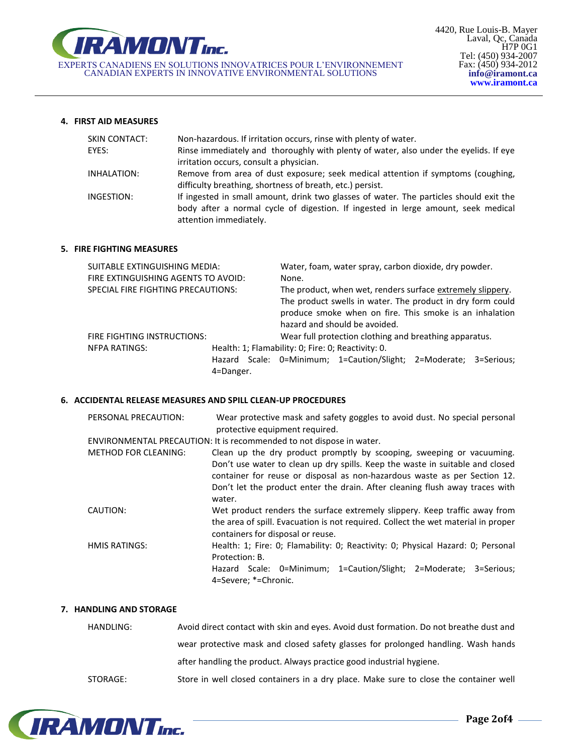

## **4. FIRST AID MEASURES**

| SKIN CONTACT: | Non-hazardous. If irritation occurs, rinse with plenty of water.                                                                                                            |
|---------------|-----------------------------------------------------------------------------------------------------------------------------------------------------------------------------|
| EYES:         | Rinse immediately and thoroughly with plenty of water, also under the eyelids. If eye                                                                                       |
|               | irritation occurs, consult a physician.                                                                                                                                     |
| INHALATION:   | Remove from area of dust exposure; seek medical attention if symptoms (coughing,                                                                                            |
|               | difficulty breathing, shortness of breath, etc.) persist.                                                                                                                   |
| INGESTION:    | If ingested in small amount, drink two glasses of water. The particles should exit the<br>body after a normal cycle of digestion. If ingested in lerge amount, seek medical |
|               | attention immediately.                                                                                                                                                      |
|               |                                                                                                                                                                             |

## **5. FIRE FIGHTING MEASURES**

| SUITABLE EXTINGUISHING MEDIA:                                              |           |                                                        | Water, foam, water spray, carbon dioxide, dry powder.      |                                                                   |  |  |
|----------------------------------------------------------------------------|-----------|--------------------------------------------------------|------------------------------------------------------------|-------------------------------------------------------------------|--|--|
| FIRE EXTINGUISHING AGENTS TO AVOID:                                        |           |                                                        | None.                                                      |                                                                   |  |  |
| SPECIAL FIRE FIGHTING PRECAUTIONS:                                         |           |                                                        | The product, when wet, renders surface extremely slippery. |                                                                   |  |  |
|                                                                            |           |                                                        |                                                            | The product swells in water. The product in dry form could        |  |  |
|                                                                            |           |                                                        |                                                            | produce smoke when on fire. This smoke is an inhalation           |  |  |
|                                                                            |           |                                                        |                                                            | hazard and should be avoided.                                     |  |  |
| FIRE FIGHTING INSTRUCTIONS:                                                |           | Wear full protection clothing and breathing apparatus. |                                                            |                                                                   |  |  |
| Health: 1; Flamability: 0; Fire: 0; Reactivity: 0.<br><b>NFPA RATINGS:</b> |           |                                                        |                                                            |                                                                   |  |  |
|                                                                            |           |                                                        |                                                            | Hazard Scale: 0=Minimum; 1=Caution/Slight; 2=Moderate; 3=Serious; |  |  |
|                                                                            | 4=Danger. |                                                        |                                                            |                                                                   |  |  |

## **6. ACCIDENTAL RELEASE MEASURES AND SPILL CLEAN-UP PROCEDURES**

| PERSONAL PRECAUTION:        | Wear protective mask and safety goggles to avoid dust. No special personal<br>protective equipment required.                                                                                                                                                                                                                  |
|-----------------------------|-------------------------------------------------------------------------------------------------------------------------------------------------------------------------------------------------------------------------------------------------------------------------------------------------------------------------------|
|                             | ENVIRONMENTAL PRECAUTION: It is recommended to not dispose in water.                                                                                                                                                                                                                                                          |
| <b>METHOD FOR CLEANING:</b> | Clean up the dry product promptly by scooping, sweeping or vacuuming.<br>Don't use water to clean up dry spills. Keep the waste in suitable and closed<br>container for reuse or disposal as non-hazardous waste as per Section 12.<br>Don't let the product enter the drain. After cleaning flush away traces with<br>water. |
| CAUTION:                    | Wet product renders the surface extremely slippery. Keep traffic away from<br>the area of spill. Evacuation is not required. Collect the wet material in proper<br>containers for disposal or reuse.                                                                                                                          |
| <b>HMIS RATINGS:</b>        | Health: 1; Fire: 0; Flamability: 0; Reactivity: 0; Physical Hazard: 0; Personal<br>Protection: B.<br>Hazard Scale: 0=Minimum; 1=Caution/Slight; 2=Moderate; 3=Serious;<br>4=Severe; *=Chronic.                                                                                                                                |

## **7. HANDLING AND STORAGE**

| HANDLING: | Avoid direct contact with skin and eyes. Avoid dust formation. Do not breathe dust and |
|-----------|----------------------------------------------------------------------------------------|
|           | wear protective mask and closed safety glasses for prolonged handling. Wash hands      |
|           | after handling the product. Always practice good industrial hygiene.                   |
| STORAGE:  | Store in well closed containers in a dry place. Make sure to close the container well  |



u,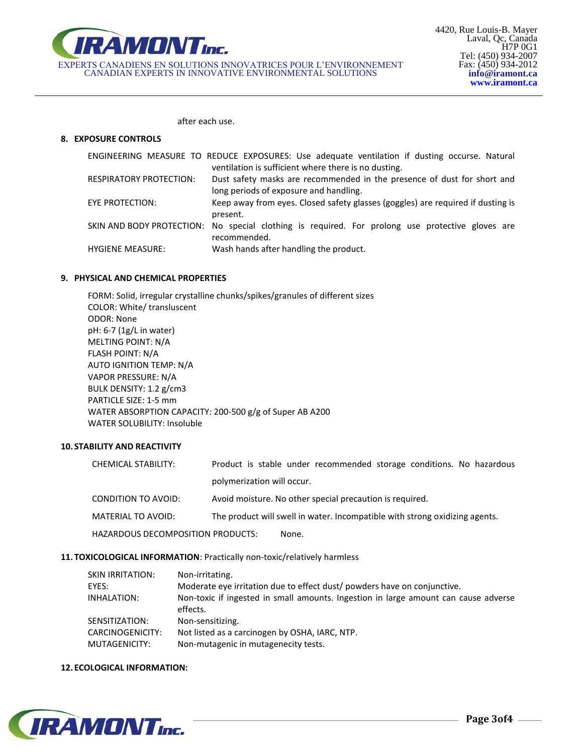

after each use.

## **8. EXPOSURE CONTROLS**

|                                | ENGINEERING MEASURE TO REDUCE EXPOSURES: Use adequate ventilation if dusting occurse. Natural    |
|--------------------------------|--------------------------------------------------------------------------------------------------|
|                                | ventilation is sufficient where there is no dusting.                                             |
| <b>RESPIRATORY PROTECTION:</b> | Dust safety masks are recommended in the presence of dust for short and                          |
|                                | long periods of exposure and handling.                                                           |
| EYE PROTECTION:                | Keep away from eyes. Closed safety glasses (goggles) are required if dusting is                  |
|                                | present.                                                                                         |
|                                | SKIN AND BODY PROTECTION: No special clothing is required. For prolong use protective gloves are |
|                                | recommended.                                                                                     |
| <b>HYGIENE MEASURE:</b>        | Wash hands after handling the product.                                                           |

## **9. PHYSICAL AND CHEMICAL PROPERTIES**

FORM: Solid, irregular crystalline chunks/spikes/granules of different sizes COLOR: White/ transluscent ODOR: None pH: 6-7 (1g/L in water) MELTING POINT: N/A FLASH POINT: N/A AUTO IGNITION TEMP: N/A VAPOR PRESSURE: N/A BULK DENSITY: 1.2 g/cm3 PARTICLE SIZE: 1-5 mm WATER ABSORPTION CAPACITY: 200-500 g/g of Super AB A200 WATER SOLUBILITY: Insoluble

# **10. STABILITY AND REACTIVITY**

| CHEMICAL STABILITY:               | Product is stable under recommended storage conditions. No hazardous        |
|-----------------------------------|-----------------------------------------------------------------------------|
|                                   | polymerization will occur.                                                  |
| CONDITION TO AVOID:               | Avoid moisture. No other special precaution is required.                    |
| MATERIAL TO AVOID:                | The product will swell in water. Incompatible with strong oxidizing agents. |
| HAZARDOUS DECOMPOSITION PRODUCTS: | None.                                                                       |

# **11. TOXICOLOGICAL INFORMATION**: Practically non-toxic/relatively harmless

| SKIN IRRITATION:                  | Non-irritating.                                                                                 |
|-----------------------------------|-------------------------------------------------------------------------------------------------|
| EYES:                             | Moderate eye irritation due to effect dust/ powders have on conjunctive.                        |
| INHALATION:                       | Non-toxic if ingested in small amounts. Ingestion in large amount can cause adverse<br>effects. |
| SENSITIZATION:                    | Non-sensitizing.                                                                                |
| CARCINOGENICITY:<br>MUTAGENICITY: | Not listed as a carcinogen by OSHA, IARC, NTP.<br>Non-mutagenic in mutagenecity tests.          |
|                                   |                                                                                                 |

## **12. ECOLOGICAL INFORMATION:**